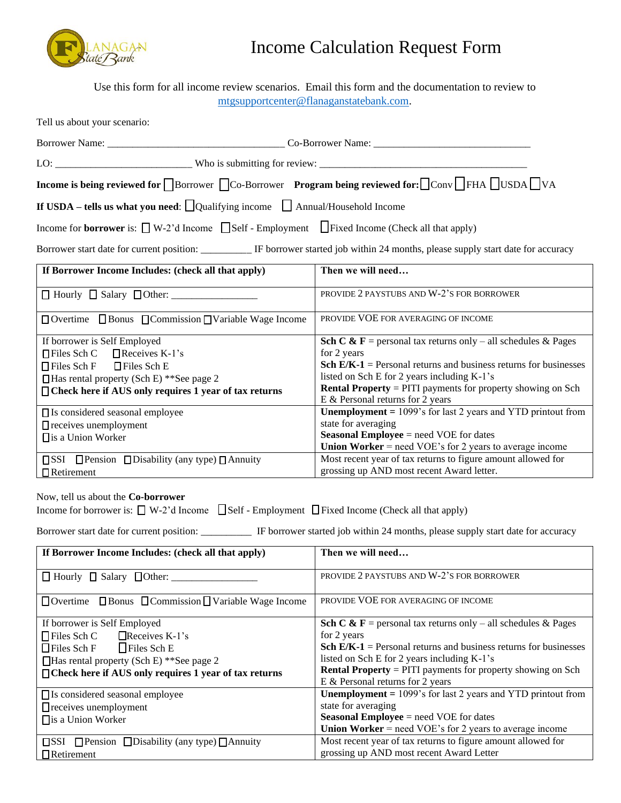

## Income Calculation Request Form

Use this form for all income review scenarios. Email this form and the documentation to review to [mtgsupportcenter@flanaganstatebank.com.](mailto:mtgsupportcenter@flanaganstatebank.com)

| Tell us about your scenario:                                                                                                                                                                                                                                                                  |                                                                                                                                                                                                                                                                                                                                                                                                                         |  |  |  |  |  |
|-----------------------------------------------------------------------------------------------------------------------------------------------------------------------------------------------------------------------------------------------------------------------------------------------|-------------------------------------------------------------------------------------------------------------------------------------------------------------------------------------------------------------------------------------------------------------------------------------------------------------------------------------------------------------------------------------------------------------------------|--|--|--|--|--|
|                                                                                                                                                                                                                                                                                               |                                                                                                                                                                                                                                                                                                                                                                                                                         |  |  |  |  |  |
|                                                                                                                                                                                                                                                                                               |                                                                                                                                                                                                                                                                                                                                                                                                                         |  |  |  |  |  |
| Income is being reviewed for Borrower Co-Borrower Program being reviewed for: Conv FHA USDA VA                                                                                                                                                                                                |                                                                                                                                                                                                                                                                                                                                                                                                                         |  |  |  |  |  |
| If USDA – tells us what you need: $\Box$ Qualifying income $\Box$ Annual/Household Income                                                                                                                                                                                                     |                                                                                                                                                                                                                                                                                                                                                                                                                         |  |  |  |  |  |
| Income for <b>borrower</b> is: $\Box$ W-2'd Income $\Box$ Self - Employment $\Box$ Fixed Income (Check all that apply)                                                                                                                                                                        |                                                                                                                                                                                                                                                                                                                                                                                                                         |  |  |  |  |  |
| Borrower start date for current position: __________ IF borrower started job within 24 months, please supply start date for accuracy                                                                                                                                                          |                                                                                                                                                                                                                                                                                                                                                                                                                         |  |  |  |  |  |
| If Borrower Income Includes: (check all that apply)                                                                                                                                                                                                                                           | Then we will need                                                                                                                                                                                                                                                                                                                                                                                                       |  |  |  |  |  |
|                                                                                                                                                                                                                                                                                               | PROVIDE 2 PAYSTUBS AND W-2'S FOR BORROWER                                                                                                                                                                                                                                                                                                                                                                               |  |  |  |  |  |
| □ Overtime □ Bonus □ Commission □ Variable Wage Income                                                                                                                                                                                                                                        | PROVIDE VOE FOR AVERAGING OF INCOME                                                                                                                                                                                                                                                                                                                                                                                     |  |  |  |  |  |
| If borrower is Self Employed<br>$\Box$ Receives K-1's<br>$\Box$ Files Sch C<br>$\Box$ Files Sch E<br>□ Files Sch F<br>$\Box$ Has rental property (Sch E) **See page 2<br>□ Check here if AUS only requires 1 year of tax returns<br>□ Is considered seasonal employee                         | <b>Sch C &amp; F</b> = personal tax returns only – all schedules & Pages<br>for 2 years<br>Sch $E/K-1$ = Personal returns and business returns for businesses<br>listed on Sch E for 2 years including K-1's<br><b>Rental Property</b> = PITI payments for property showing on Sch<br>E & Personal returns for 2 years<br><b>Unemployment</b> = $1099$ 's for last 2 years and YTD printout from<br>state for averaging |  |  |  |  |  |
| $\Box$ receives unemployment<br>□ is a Union Worker                                                                                                                                                                                                                                           | <b>Seasonal Employee</b> = need VOE for dates<br><b>Union Worker</b> = need VOE's for 2 years to average income                                                                                                                                                                                                                                                                                                         |  |  |  |  |  |
| $\square$ SSI $\square$ Pension $\square$ Disability (any type) $\square$ Annuity<br>$\Box$ Retirement                                                                                                                                                                                        | Most recent year of tax returns to figure amount allowed for<br>grossing up AND most recent Award letter.                                                                                                                                                                                                                                                                                                               |  |  |  |  |  |
| Now, tell us about the Co-borrower<br>Income for borrower is: $\Box$ W-2'd Income $\Box$ Self - Employment $\Box$ Fixed Income (Check all that apply)<br>Borrower start date for current position: __________ IF borrower started job within 24 months, please supply start date for accuracy |                                                                                                                                                                                                                                                                                                                                                                                                                         |  |  |  |  |  |
| If Borrower Income Includes: (check all that apply)                                                                                                                                                                                                                                           | Then we will need                                                                                                                                                                                                                                                                                                                                                                                                       |  |  |  |  |  |
| $\Box$ Hourly $\Box$ Salary $\Box$ Other:                                                                                                                                                                                                                                                     | PROVIDE 2 PAYSTUBS AND W-2'S FOR BORROWER                                                                                                                                                                                                                                                                                                                                                                               |  |  |  |  |  |
| $\Box$ Overtime $\Box$ Bonus $\Box$ Commission $\Box$ Variable Wage Income                                                                                                                                                                                                                    | PROVIDE VOE FOR AVERAGING OF INCOME                                                                                                                                                                                                                                                                                                                                                                                     |  |  |  |  |  |
| If borrower is Self Employed<br>$\Box$ Files Sch C<br>$\Box$ Receives K-1's<br>□Files Sch F<br>$\Box$ Files Sch E<br>$\Box$ Has rental property (Sch E) ** See page 2<br>□ Check here if AUS only requires 1 year of tax returns<br>□ Is considered seasonal employee                         | Sch C & F = personal tax returns only – all schedules & Pages<br>for 2 years<br><b>Sch E/K-1</b> = Personal returns and business returns for businesses<br>listed on Sch E for 2 years including K-1's<br><b>Rental Property</b> = PITI payments for property showing on Sch<br>E & Personal returns for 2 years<br><b>Unemployment</b> = $1099$ 's for last 2 years and YTD printout from                              |  |  |  |  |  |
| $\Box$ receives unemployment<br>□ is a Union Worker                                                                                                                                                                                                                                           | state for averaging<br><b>Seasonal Employee</b> = need VOE for dates<br><b>Union Worker</b> = need VOE's for 2 years to average income                                                                                                                                                                                                                                                                                  |  |  |  |  |  |
| $\square$ SSI $\square$ Pension $\square$ Disability (any type) $\square$ Annuity                                                                                                                                                                                                             | Most recent year of tax returns to figure amount allowed for                                                                                                                                                                                                                                                                                                                                                            |  |  |  |  |  |

grossing up AND most recent Award Letter

|                   | $\square$ SSI $\square$ Pension $\square$ Disability (any type) $\square$ Annuity |
|-------------------|-----------------------------------------------------------------------------------|
| $\Box$ Retirement |                                                                                   |